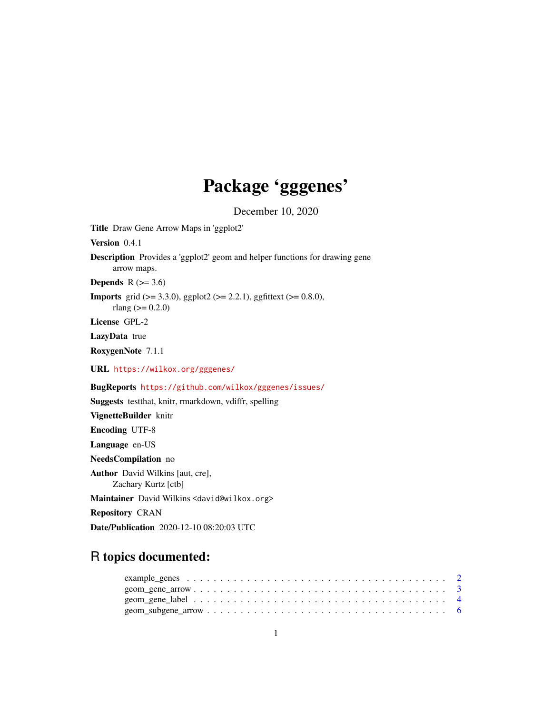## Package 'gggenes'

December 10, 2020

Title Draw Gene Arrow Maps in 'ggplot2'

Version 0.4.1

Description Provides a 'ggplot2' geom and helper functions for drawing gene arrow maps.

Depends  $R$  ( $>= 3.6$ )

**Imports** grid ( $>= 3.3.0$ ), ggplot2 ( $>= 2.2.1$ ), ggfittext ( $>= 0.8.0$ ), rlang ( $> = 0.2.0$ )

License GPL-2

LazyData true

RoxygenNote 7.1.1

URL <https://wilkox.org/gggenes/>

BugReports <https://github.com/wilkox/gggenes/issues/>

Suggests testthat, knitr, rmarkdown, vdiffr, spelling

VignetteBuilder knitr Encoding UTF-8 Language en-US NeedsCompilation no Author David Wilkins [aut, cre], Zachary Kurtz [ctb] Maintainer David Wilkins <david@wilkox.org> Repository CRAN Date/Publication 2020-12-10 08:20:03 UTC

### R topics documented: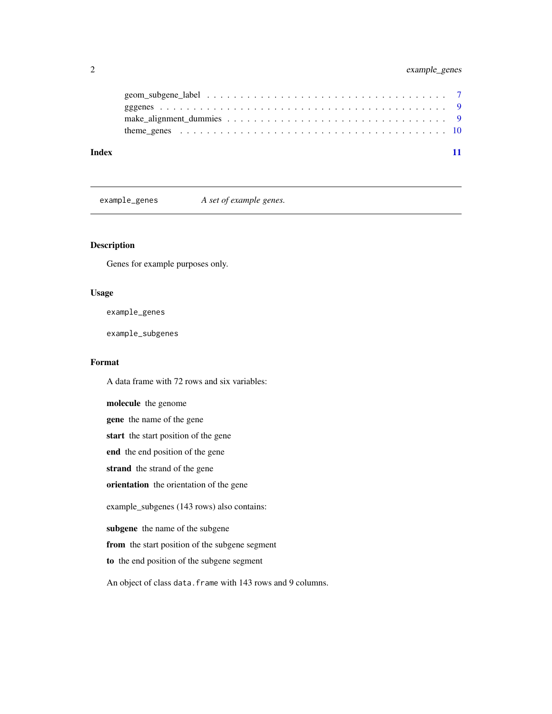### <span id="page-1-0"></span>2 example\_genes

| Index |  |
|-------|--|
|       |  |
|       |  |
|       |  |
|       |  |

example\_genes *A set of example genes.*

#### Description

Genes for example purposes only.

#### Usage

example\_genes

example\_subgenes

#### Format

A data frame with 72 rows and six variables:

molecule the genome

gene the name of the gene

start the start position of the gene

end the end position of the gene

strand the strand of the gene

orientation the orientation of the gene

example\_subgenes (143 rows) also contains:

subgene the name of the subgene

from the start position of the subgene segment

to the end position of the subgene segment

An object of class data. frame with 143 rows and 9 columns.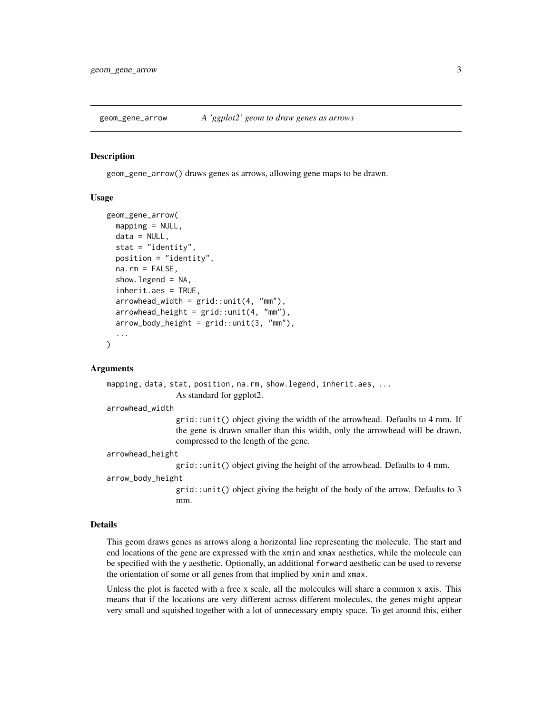<span id="page-2-1"></span><span id="page-2-0"></span>geom\_gene\_arrow *A 'ggplot2' geom to draw genes as arrows*

#### Description

geom\_gene\_arrow() draws genes as arrows, allowing gene maps to be drawn.

#### Usage

```
geom_gene_arrow(
  mapping = NULL,data = NULL,stat = "identity",
  position = "identity",
  na.rm = FALSE,show.legend = NA,
  inherit.aes = TRUE,
  arrowhead\_width = grid::unit(4, "mm"),
  arrowhead\_height = grid::unit(4, "mm"),
  arrow\_body\_height = grid::unit(3, "mm"),
  ...
\lambda
```
#### Arguments

```
mapping, data, stat, position, na.rm, show.legend, inherit.aes, ...
                 As standard for ggplot2.
```
arrowhead\_width

grid::unit() object giving the width of the arrowhead. Defaults to 4 mm. If the gene is drawn smaller than this width, only the arrowhead will be drawn, compressed to the length of the gene.

arrowhead\_height

grid::unit() object giving the height of the arrowhead. Defaults to 4 mm. arrow\_body\_height

> grid::unit() object giving the height of the body of the arrow. Defaults to 3 mm.

#### Details

This geom draws genes as arrows along a horizontal line representing the molecule. The start and end locations of the gene are expressed with the xmin and xmax aesthetics, while the molecule can be specified with the y aesthetic. Optionally, an additional forward aesthetic can be used to reverse the orientation of some or all genes from that implied by xmin and xmax.

Unless the plot is faceted with a free x scale, all the molecules will share a common x axis. This means that if the locations are very different across different molecules, the genes might appear very small and squished together with a lot of unnecessary empty space. To get around this, either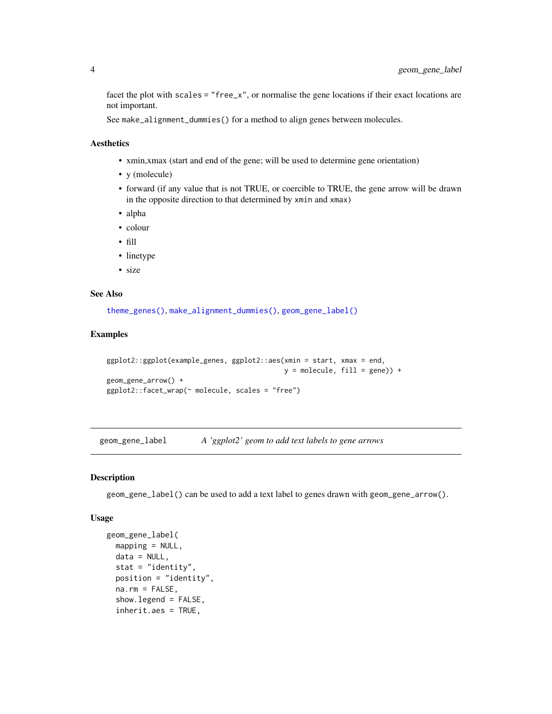facet the plot with scales = "free\_x", or normalise the gene locations if their exact locations are not important.

See make\_alignment\_dummies() for a method to align genes between molecules.

#### Aesthetics

- xmin,xmax (start and end of the gene; will be used to determine gene orientation)
- y (molecule)
- forward (if any value that is not TRUE, or coercible to TRUE, the gene arrow will be drawn in the opposite direction to that determined by xmin and xmax)
- alpha
- colour
- fill
- linetype
- size

#### See Also

[theme\\_genes\(\)](#page-9-1), [make\\_alignment\\_dummies\(\)](#page-8-1), [geom\\_gene\\_label\(\)](#page-3-1)

#### Examples

```
ggplot2::ggplot(example_genes, ggplot2::aes(xmin = start, xmax = end,
                                           y = molecule, fill = gene) +
geom_gene_arrow() +
ggplot2::facet_wrap(~ molecule, scales = "free")
```
<span id="page-3-1"></span>geom\_gene\_label *A 'ggplot2' geom to add text labels to gene arrows*

#### Description

geom\_gene\_label() can be used to add a text label to genes drawn with geom\_gene\_arrow().

#### Usage

```
geom_gene_label(
 mapping = NULL,
 data = NULL,stat = "identity",position = "identity",
 na.rm = FALSE,show.legend = FALSE,
 inherit.aes = TRUE,
```
<span id="page-3-0"></span>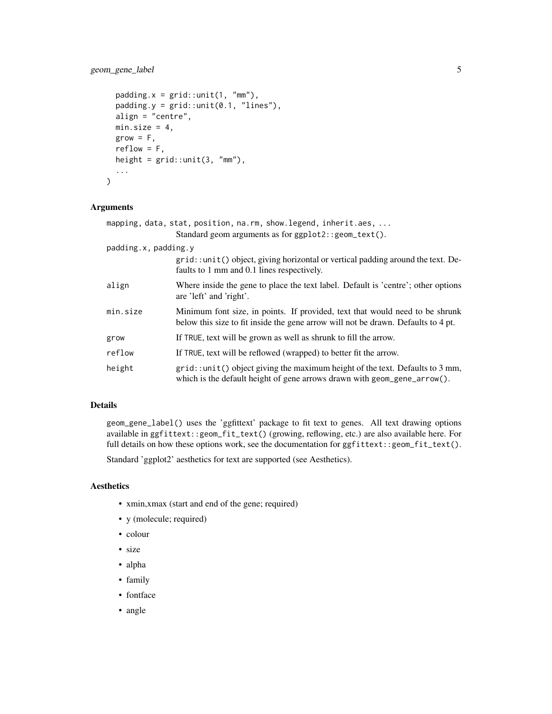#### geom\_gene\_label 5

```
padding.x = grid::unit(1, "mm"),
 padding.y = grid::unit(0.1, 'lines"),align = "centre",
 min.size = 4,
 grow = F,
 reflow = F,
 height = grid::unit(3, "mm"),
  ...
)
```
#### Arguments

|                      | mapping, data, stat, position, na.rm, show.legend, inherit.aes,                                                                                                   |
|----------------------|-------------------------------------------------------------------------------------------------------------------------------------------------------------------|
|                      | Standard geom arguments as for ggplot2::geom_text().                                                                                                              |
| padding.x, padding.y |                                                                                                                                                                   |
|                      | grid::unit() object, giving horizontal or vertical padding around the text. De-<br>faults to 1 mm and 0.1 lines respectively.                                     |
| align                | Where inside the gene to place the text label. Default is 'centre'; other options<br>are 'left' and 'right'.                                                      |
| min.size             | Minimum font size, in points. If provided, text that would need to be shrunk<br>below this size to fit inside the gene arrow will not be drawn. Defaults to 4 pt. |
| grow                 | If TRUE, text will be grown as well as shrunk to fill the arrow.                                                                                                  |
| reflow               | If TRUE, text will be reflowed (wrapped) to better fit the arrow.                                                                                                 |
| height               | $grid:$ : unit() object giving the maximum height of the text. Defaults to 3 mm,<br>which is the default height of gene arrows drawn with geom_gene_arrow $()$ .  |

#### Details

geom\_gene\_label() uses the 'ggfittext' package to fit text to genes. All text drawing options available in ggfittext::geom\_fit\_text() (growing, reflowing, etc.) are also available here. For full details on how these options work, see the documentation for ggfittext::geom\_fit\_text().

Standard 'ggplot2' aesthetics for text are supported (see Aesthetics).

#### Aesthetics

- xmin,xmax (start and end of the gene; required)
- y (molecule; required)
- colour
- size
- alpha
- family
- fontface
- angle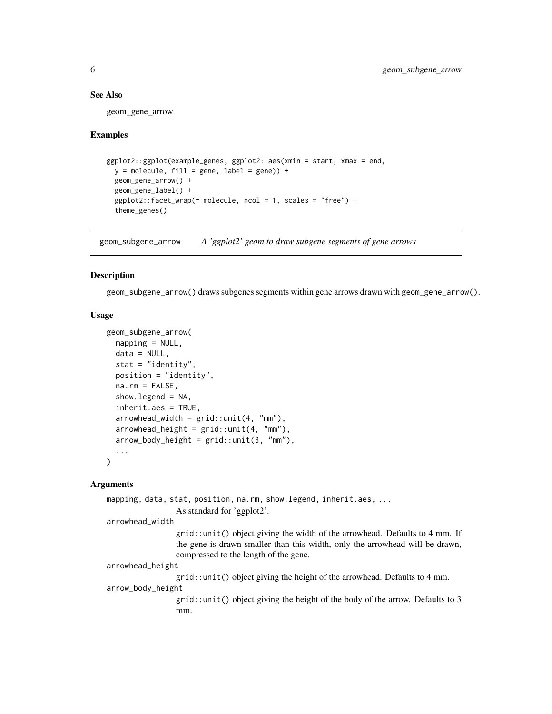#### See Also

geom\_gene\_arrow

#### Examples

```
ggplot2::ggplot(example_genes, ggplot2::aes(xmin = start, xmax = end,
 y = molecule, fill = gene, label = gene) +
 geom_gene_arrow() +
 geom_gene_label() +
 ggplot2::facet_wrap(~ molecule, ncol = 1, scales = "free") +
 theme_genes()
```
geom\_subgene\_arrow *A 'ggplot2' geom to draw subgene segments of gene arrows*

#### Description

geom\_subgene\_arrow() draws subgenes segments within gene arrows drawn with geom\_gene\_arrow().

#### Usage

```
geom_subgene_arrow(
 mapping = NULL,
 data = NULL,stat = "identity",
 position = "identity",
  na.rm = FALSE,
  show.legend = NA,
  inherit.aes = TRUE,
  arrowhead_width = grid::unit(4, "mm"),
  arrowhead\_height = grid::unit(4, "mm"),
  arrow\_body\_height = grid::unit(3, "mm"),
  ...
)
```
#### Arguments

```
mapping, data, stat, position, na.rm, show.legend, inherit.aes, ...
                  As standard for 'ggplot2'.
arrowhead_width
                  grid::unit() object giving the width of the arrowhead. Defaults to 4 mm. If
                 the gene is drawn smaller than this width, only the arrowhead will be drawn,
                 compressed to the length of the gene.
arrowhead_height
                  grid::unit() object giving the height of the arrowhead. Defaults to 4 mm.
arrow_body_height
                 grid::unit() object giving the height of the body of the arrow. Defaults to 3
                 mm.
```
<span id="page-5-0"></span>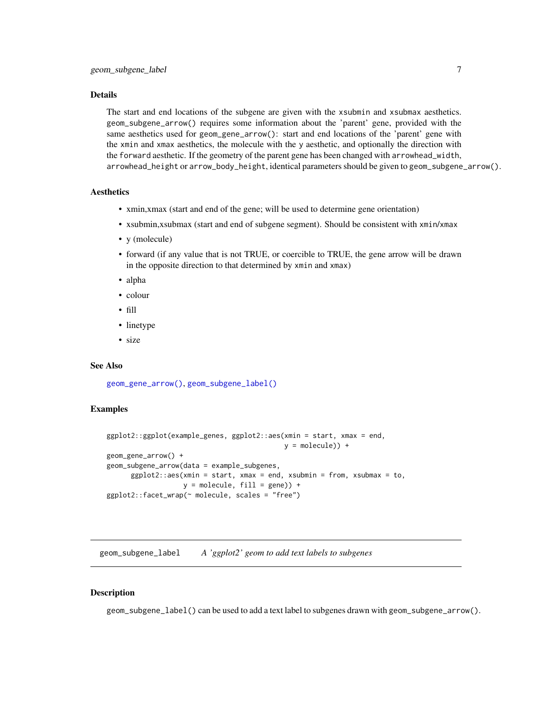#### <span id="page-6-0"></span>Details

The start and end locations of the subgene are given with the xsubmin and xsubmax aesthetics. geom\_subgene\_arrow() requires some information about the 'parent' gene, provided with the same aesthetics used for geom\_gene\_arrow(): start and end locations of the 'parent' gene with the xmin and xmax aesthetics, the molecule with the y aesthetic, and optionally the direction with the forward aesthetic. If the geometry of the parent gene has been changed with arrowhead\_width, arrowhead\_height or arrow\_body\_height, identical parameters should be given to geom\_subgene\_arrow().

#### Aesthetics

- xmin,xmax (start and end of the gene; will be used to determine gene orientation)
- xsubmin,xsubmax (start and end of subgene segment). Should be consistent with xmin/xmax
- y (molecule)
- forward (if any value that is not TRUE, or coercible to TRUE, the gene arrow will be drawn in the opposite direction to that determined by xmin and xmax)
- alpha
- colour
- fill
- linetype
- size

#### See Also

[geom\\_gene\\_arrow\(\)](#page-2-1), [geom\\_subgene\\_label\(\)](#page-6-1)

#### Examples

```
ggplot2::ggplot(example_genes, ggplot2::aes(xmin = start, xmax = end,
                                            y = molecule)) +
geom_gene_arrow() +
geom_subgene_arrow(data = example_subgenes,
      ggplot2::aes(xmin = start, xmax = end, xsubmin = from, xsubmax = to,y = molecule, fill = gene) +
ggplot2::facet_wrap(~ molecule, scales = "free")
```
<span id="page-6-1"></span>geom\_subgene\_label *A 'ggplot2' geom to add text labels to subgenes*

#### Description

geom\_subgene\_label() can be used to add a text label to subgenes drawn with geom\_subgene\_arrow().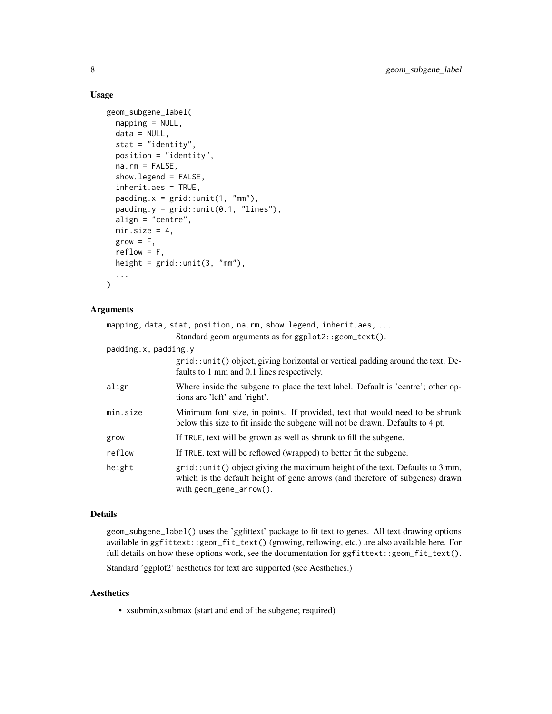#### Usage

```
geom_subgene_label(
 mapping = NULL,
  data = NULL,
  stat = "identity",
 position = "identity",
  na.rm = FALSE,show.legend = FALSE,
  inherit.aes = TRUE,
  padding.x = grid::unit(1, "mm"),
  padding.y = grid::unit(0.1, 'lines''),
  align = "centre",
 min.size = 4,
 grow = F,
  reflow = F,
 height = grid::unit(3, "mm"),
  ...
\mathcal{L}
```
#### Arguments

|                      | mapping, data, stat, position, na.rm, show.legend, inherit.aes,                                                                                                                                 |
|----------------------|-------------------------------------------------------------------------------------------------------------------------------------------------------------------------------------------------|
|                      | Standard geom arguments as for ggplot2::geom_text().                                                                                                                                            |
| padding.x, padding.y |                                                                                                                                                                                                 |
|                      | grid::unit() object, giving horizontal or vertical padding around the text. De-<br>faults to 1 mm and 0.1 lines respectively.                                                                   |
| align                | Where inside the subgene to place the text label. Default is 'centre'; other op-<br>tions are 'left' and 'right'.                                                                               |
| min.size             | Minimum font size, in points. If provided, text that would need to be shrunk<br>below this size to fit inside the subgene will not be drawn. Defaults to 4 pt.                                  |
| grow                 | If TRUE, text will be grown as well as shrunk to fill the subgene.                                                                                                                              |
| reflow               | If TRUE, text will be reflowed (wrapped) to better fit the subgene.                                                                                                                             |
| height               | $grid$ : unit() object giving the maximum height of the text. Defaults to 3 mm,<br>which is the default height of gene arrows (and therefore of subgenes) drawn<br>with $geom\_gene\_arrow()$ . |

#### Details

geom\_subgene\_label() uses the 'ggfittext' package to fit text to genes. All text drawing options available in ggfittext::geom\_fit\_text() (growing, reflowing, etc.) are also available here. For full details on how these options work, see the documentation for ggfittext::geom\_fit\_text().

Standard 'ggplot2' aesthetics for text are supported (see Aesthetics.)

#### Aesthetics

• xsubmin,xsubmax (start and end of the subgene; required)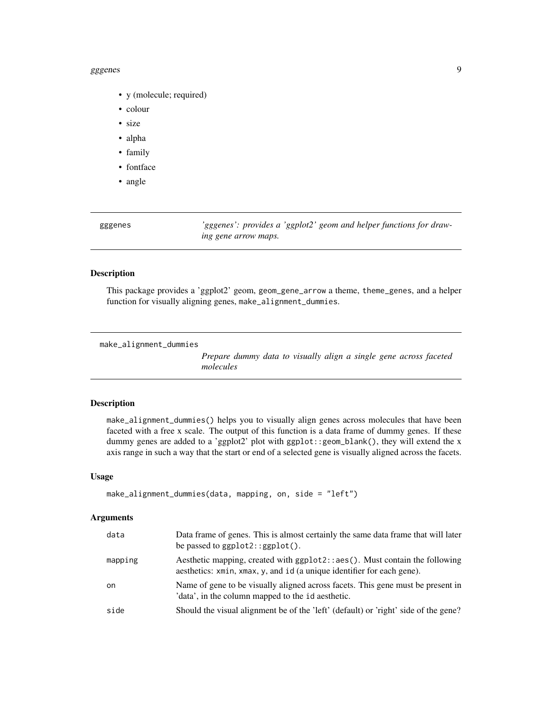#### <span id="page-8-0"></span>gggenes and the set of the set of the set of the set of the set of the set of the set of the set of the set of the set of the set of the set of the set of the set of the set of the set of the set of the set of the set of t

- y (molecule; required)
- colour
- size
- alpha
- family
- fontface
- angle

| gggenes | 'gggenes': provides a 'ggplot2' geom and helper functions for draw- |
|---------|---------------------------------------------------------------------|
|         | ing gene arrow maps.                                                |

#### Description

This package provides a 'ggplot2' geom, geom\_gene\_arrow a theme, theme\_genes, and a helper function for visually aligning genes, make\_alignment\_dummies.

```
make_alignment_dummies
```
*Prepare dummy data to visually align a single gene across faceted molecules*

#### Description

make\_alignment\_dummies() helps you to visually align genes across molecules that have been faceted with a free x scale. The output of this function is a data frame of dummy genes. If these dummy genes are added to a 'ggplot2' plot with ggplot::geom\_blank(), they will extend the x axis range in such a way that the start or end of a selected gene is visually aligned across the facets.

#### Usage

```
make_alignment_dummies(data, mapping, on, side = "left")
```
#### Arguments

| data    | Data frame of genes. This is almost certainly the same data frame that will later<br>be passed to $ggplot2::ggplot()$ .                                       |
|---------|---------------------------------------------------------------------------------------------------------------------------------------------------------------|
| mapping | Aesthetic mapping, created with $ggplot2$ : : aes $()$ . Must contain the following<br>aesthetics: xmin, xmax, y, and id (a unique identifier for each gene). |
| on      | Name of gene to be visually aligned across facets. This gene must be present in<br>'data', in the column mapped to the id aesthetic.                          |
| side    | Should the visual alignment be of the 'left' (default) or 'right' side of the gene?                                                                           |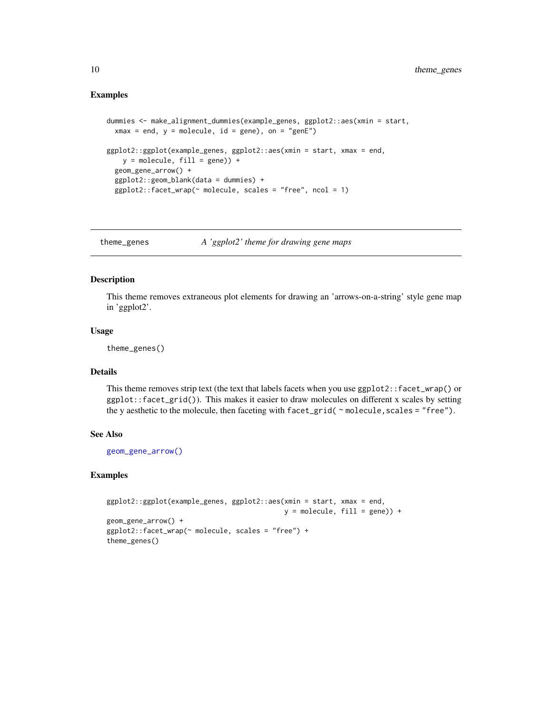#### <span id="page-9-0"></span>Examples

```
dummies <- make_alignment_dummies(example_genes, ggplot2::aes(xmin = start,
 xmax = end, y = molecule, id = gene), on = "genE")
ggplot2::ggplot(example_genes, ggplot2::aes(xmin = start, xmax = end,
   y = molecule, fill = gene) +
 geom_gene_arrow() +
 ggplot2::geom_blank(data = dummies) +
 ggplot2::facet_wrap(~ molecule, scales = "free", ncol = 1)
```
<span id="page-9-1"></span>theme\_genes *A 'ggplot2' theme for drawing gene maps*

#### Description

This theme removes extraneous plot elements for drawing an 'arrows-on-a-string' style gene map in 'ggplot2'.

#### Usage

theme\_genes()

#### Details

This theme removes strip text (the text that labels facets when you use ggplot2::facet\_wrap() or ggplot::facet\_grid()). This makes it easier to draw molecules on different x scales by setting the y aesthetic to the molecule, then faceting with facet\_grid( ~ molecule, scales = "free").

#### See Also

[geom\\_gene\\_arrow\(\)](#page-2-1)

#### Examples

```
ggplot2::ggplot(example_genes, ggplot2::aes(xmin = start, xmax = end,
                                           y = molecule, fill = gene) +
geom_gene_arrow() +
ggplot2::facet_wrap(~ molecule, scales = "free") +
theme_genes()
```